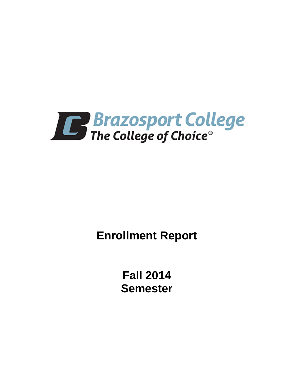

**Enrollment Report**

**Fall 2014 Semester**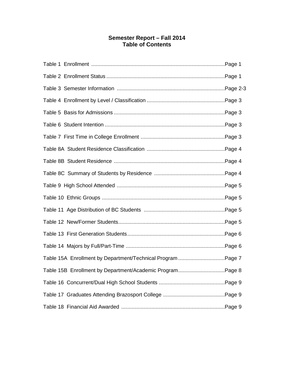# **Semester Report – Fall 2014 Table of Contents**

| Table 15A Enrollment by Department/Technical Program Page 7 |  |
|-------------------------------------------------------------|--|
| Table 15B Enrollment by Department/Academic ProgramPage 8   |  |
|                                                             |  |
|                                                             |  |
|                                                             |  |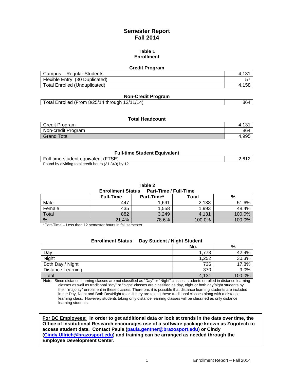# **Semester Report Fall 2014**

#### **Table 1 Enrollment**

#### **Credit Program**

| Campus – Regular Students            |  |
|--------------------------------------|--|
| Flexible Entry (30 Duplicated)       |  |
| <b>Total Enrolled (Unduplicated)</b> |  |

#### **Non-Credit Program**

| Total Enrolled (From 8/25/14 through 12/11/14) | 864 |
|------------------------------------------------|-----|
|------------------------------------------------|-----|

#### **Total Headcount**

| Credit Program     | ∸<br>՝י |
|--------------------|---------|
| Non-credit Program | 864     |
| <b>Grand Total</b> | 4.995   |

#### **Full-time Student Equivalent**

| Full-time student equivalent (FTSE)                 |  |
|-----------------------------------------------------|--|
| Found by dividing total credit hours (31,349) by 12 |  |

**Table 2**

**Enrollment Status Part-Time / Full-Time**

|        | <b>Full-Time</b> | Part-Time* | Total  | %      |
|--------|------------------|------------|--------|--------|
| Male   | 447              | 1,691      | 2,138  | 51.6%  |
| Female | 435              | 1,558      | 1,993  | 48.4%  |
| Total  | 882              | 3,249      | 4,131  | 100.0% |
| %      | 21.4%            | 78.6%      | 100.0% | 100.0% |

\*Part-Time – Less than 12 semester hours in fall semester.

| <b>Enrollment Status</b> | Day Student / Night Student |        |
|--------------------------|-----------------------------|--------|
|                          | No.                         | %      |
| Day                      | 1.773                       | 42.9%  |
| Night                    | 1,252                       | 30.3%  |
| Both Day / Night         | 736                         | 17.8%  |
| <b>Distance Learning</b> | 370                         | 9.0%   |
| Total                    | 4,131                       | 100.0% |

Note: Since distance learning classes are not classified as "Day" or "Night" classes, students enrolled in distance learning classes as well as traditional "day" or "night" classes are classified as day, night or both day/night students by their "majority" enrollment in these classes. Therefore, it is possible that distance learning students are included in the Day, Night and Both Day/Night totals if they are taking these traditional classes along with a distance learning class. However, students taking only distance learning classes will be classified as only distance learning students.

**For BC Employees: In order to get additional data or look at trends in the data over time, the Office of Institutional Research encourages use of a software package known as Zogotech to access student data. Contact Paula [\(paula.gentner@brazosport.edu\)](mailto:paula.gentner@brazosport.edu) or Cindy [\(Cindy.Ullrich@brazosport.edu\)](mailto:Cindy.Ullrich@brazosport.edu) and training can be arranged as needed through the Employee Development Center.**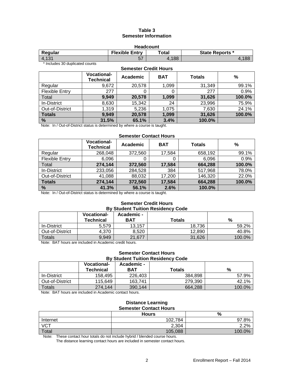# **Table 3 Semester Information**

| <b>Headcount</b>                                                    |    |      |               |  |
|---------------------------------------------------------------------|----|------|---------------|--|
| <b>Flexible Entry</b><br>Total<br><b>State Reports *</b><br>Regular |    |      |               |  |
| 4.131                                                               | -- | .188 | $\circ$<br>oo |  |

\* Includes 30 duplicated counts

## **Semester Credit Hours Vocational-Technical Academic BAT Totals %** Regular 9,672 | 20,578 | 1,099 | 31,349 | 99.1% Flexible Entry  $\begin{vmatrix} 277 & 0 & 0 \end{vmatrix}$  0 277 0.9% Total **9,949 20,578 1,099 31,626 100.0%** In-District 8,630 15,342 24 23,996 75.9% Out-of-District 1,319 5,236 1,075 7,630 24.1%<br>
Totals 9,949 20,578 1,099 31,626 100.0% **Totals 9,949 20,578 1,099 31,626 100.0% % 31.5% 65.1% 3.4% 100.0%**

Note: In / Out-of-District status is determined by where a course is taught.

# **Semester Contact Hours**

|                       | <b>Vocational-</b><br><b>Technical</b> | Academic | <b>BAT</b> | <b>Totals</b> | $\frac{0}{0}$ |
|-----------------------|----------------------------------------|----------|------------|---------------|---------------|
| Regular               | 268,048                                | 372,560  | 17,584     | 658,192       | 99.1%         |
| <b>Flexible Entry</b> | 6,096                                  | O        |            | 6,096         | 0.9%          |
| Total                 | 274,144                                | 372,560  | 17,584     | 664,288       | 100.0%        |
| In-District           | 233,056                                | 284,528  | 384        | 517,968       | 78.0%         |
| Out-of-District       | 41,088                                 | 88,032   | 17,200     | 146,320       | 22.0%         |
| <b>Totals</b>         | 274,144                                | 372,560  | 17,584     | 664,288       | 100.0%        |
| %                     | 41.3%                                  | 56.1%    | 2.6%       | 100.0%        |               |

Note: In / Out-of-District status is determined by where a course is taught.

#### **Semester Credit Hours By Student Tuition Residency Code**

|                 | <b>Vocational-</b><br><b>Technical</b> | <b>Academic -</b><br><b>BAT</b> | <b>Totals</b> | %      |
|-----------------|----------------------------------------|---------------------------------|---------------|--------|
| In-District     | 5,579                                  | 13.157                          | 18.736        | 59.2%  |
| Out-of-District | 4.370                                  | 8.520                           | 12.890        | 40.8%  |
| Totals          | 9.949                                  | 21.677                          | 31,626        | 100.0% |

Note: BAT hours are included in Academic credit hours.

#### **Semester Contact Hours By Student Tuition Residency Code**

|                 | <b>Vocational-</b><br>Technical | Academic -<br>BAT | Totals  | %      |
|-----------------|---------------------------------|-------------------|---------|--------|
| In-District     | 158.495                         | 226,403           | 384.898 | 57.9%  |
| Out-of-District | 115.649                         | 163.741           | 279,390 | 42.1%  |
| Totals          | 274.144                         | 390,144           | 664.288 | 100.0% |

Note: BAT hours are included in Academic contact hours.

#### **Distance Learning Semester Contact Hours**

|                   | <b>Hours</b> | %      |
|-------------------|--------------|--------|
| Internet          | 102,784      | 97.8%  |
| $\overline{V}$ CT | 2,304        | 2.2%   |
| Total             | 105,088      | 100.0% |

Note: These contact hour totals do not include hybrid / blended course hours.

The distance learning contact hours are included in semester contact hours.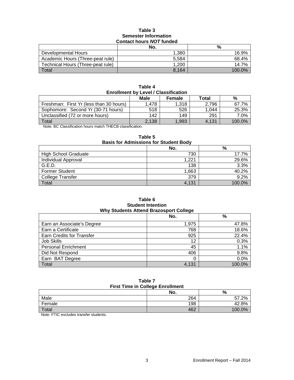#### **Table 3 Semester Information Contact hours** *NOT* **funded**

|                                   | No.   | %         |  |  |  |
|-----------------------------------|-------|-----------|--|--|--|
| Developmental Hours               | 1.380 | 16.9%     |  |  |  |
| Academic Hours (Three-peat rule)  | 5.584 | 68.4%     |  |  |  |
| Technical Hours (Three-peat rule) | 1.200 | 14.7%     |  |  |  |
| Total                             | 8,164 | $100.0\%$ |  |  |  |

| Table 4                                     |
|---------------------------------------------|
| <b>Enrollment by Level / Classification</b> |

|                                                                                                                                                                                                                                                                                                                                    | Male  | Female | Total | %      |
|------------------------------------------------------------------------------------------------------------------------------------------------------------------------------------------------------------------------------------------------------------------------------------------------------------------------------------|-------|--------|-------|--------|
| Freshman: First Yr (less than 30 hours)                                                                                                                                                                                                                                                                                            | 1.478 | 1.318  | 2.796 | 67.7%  |
| Sophomore: Second Yr (30-71 hours)                                                                                                                                                                                                                                                                                                 | 518   | 526    | 1.044 | 25.3%  |
| Unclassified (72 or more hours)                                                                                                                                                                                                                                                                                                    | 142   | 149    | 291   | 7.0%   |
| Total                                                                                                                                                                                                                                                                                                                              | 2.138 | 1,993  | 4.131 | 100.0% |
| $\mathbf{u}$ $\mathbf{v}$ $\mathbf{v}$ $\mathbf{v}$ $\mathbf{v}$ $\mathbf{v}$ $\mathbf{v}$ $\mathbf{v}$ $\mathbf{v}$ $\mathbf{v}$ $\mathbf{v}$ $\mathbf{v}$ $\mathbf{v}$ $\mathbf{v}$ $\mathbf{v}$ $\mathbf{v}$ $\mathbf{v}$ $\mathbf{v}$ $\mathbf{v}$ $\mathbf{v}$ $\mathbf{v}$ $\mathbf{v}$ $\mathbf{v}$ $\mathbf{v}$ $\mathbf{$ |       |        |       |        |

Note: BC Classification hours match THECB classification.

| <b>Basis for Admissions for Student Body</b> |       |        |  |  |  |
|----------------------------------------------|-------|--------|--|--|--|
| No.<br>%                                     |       |        |  |  |  |
| <b>High School Graduate</b>                  | 730   | 17.7%  |  |  |  |
| Individual Approval                          | 1.221 | 29.6%  |  |  |  |
| G.E.D.                                       | 138   | 3.3%   |  |  |  |
| <b>Former Student</b>                        | 1,663 | 40.2%  |  |  |  |
| <b>College Transfer</b>                      | 379   | 9.2%   |  |  |  |
| Total                                        | 4.131 | 100.0% |  |  |  |

# **Table 5**

#### **Table 6 Student Intention Why Students Attend Brazosport College**

|                                  | No.   | %      |  |  |
|----------------------------------|-------|--------|--|--|
| Earn an Associate's Degree       | 1,975 | 47.8%  |  |  |
| Earn a Certificate               | 768   | 18.6%  |  |  |
| <b>Earn Credits for Transfer</b> | 925   | 22.4%  |  |  |
| Job Skills                       | 12    | 0.3%   |  |  |
| <b>Personal Enrichment</b>       | 45    | 1.1%   |  |  |
| Did Not Respond                  | 406   | 9.8%   |  |  |
| Earn BAT Degree                  | C     | 0.0%   |  |  |
| Total                            | 4,131 | 100.0% |  |  |

# **Table 7 First Time in College Enrollment**

| No. | %           |
|-----|-------------|
| 264 | $2\%$<br>57 |
| 198 | 42.8%       |
| 462 | 100.0%      |
|     |             |

Note: FTIC excludes transfer students.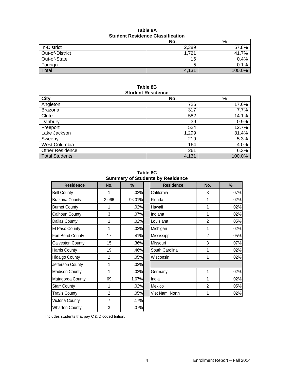| Table 8A                                |  |  |  |  |
|-----------------------------------------|--|--|--|--|
| <b>Student Residence Classification</b> |  |  |  |  |

|                 | No.   | %      |  |  |  |
|-----------------|-------|--------|--|--|--|
| In-District     | 2,389 | 57.8%  |  |  |  |
| Out-of-District | 1,721 | 41.7%  |  |  |  |
| Out-of-State    | 16    | 0.4%   |  |  |  |
| Foreign         | b     | 0.1%   |  |  |  |
| Total           | 4,131 | 100.0% |  |  |  |

#### **Table 8B Student Residence**

| <b>City</b>            | No.   | $\%$   |
|------------------------|-------|--------|
| Angleton               | 726   | 17.6%  |
| <b>Brazoria</b>        | 317   | 7.7%   |
| Clute                  | 582   | 14.1%  |
| Danbury                | 39    | 0.9%   |
| Freeport               | 524   | 12.7%  |
| Lake Jackson           | 1,299 | 31.4%  |
| Sweeny                 | 219   | 5.3%   |
| West Columbia          | 164   | 4.0%   |
| <b>Other Residence</b> | 261   | 6.3%   |
| <b>Total Students</b>  | 4,131 | 100.0% |

**Table 8C Summary of Students by Residence**

| <b>Residence</b>       | No.            | $\%$   | <b>Residence</b> | No.            | $\%$ |
|------------------------|----------------|--------|------------------|----------------|------|
| <b>Bell County</b>     | 1              | .02%   | California       | 3              | .07% |
| <b>Brazoria County</b> | 3,966          | 96.01% | Florida          | 1              | .02% |
| <b>Burnet County</b>   | 1              | .02%   | Hawaii           | 1              | .02% |
| Calhoun County         | 3              | .07%   | Indiana          | 1              | .02% |
| <b>Dallas County</b>   | 1              | .02%   | Louisiana        | $\overline{2}$ | .05% |
| El Paso County         | 1              | .02%   | Michigan         | 1              | .02% |
| Fort Bend County       | 17             | .41%   | Mississippi      | $\overline{2}$ | .05% |
| Galveston County       | 15             | .36%   | Missouri         | 3              | .07% |
| Harris County          | 19             | .46%   | South Carolina   | 1              | .02% |
| <b>Hidalgo County</b>  | $\overline{2}$ | .05%   | Wisconsin        | 1              | .02% |
| Jefferson County       | 1              | .02%   |                  |                |      |
| <b>Madison County</b>  | 1              | .02%   | Germany          | 1              | .02% |
| Matagorda County       | 69             | 1.67%  | India            | 1              | .02% |
| <b>Starr County</b>    | 1              | .02%   | Mexico           | $\overline{2}$ | .05% |
| <b>Travis County</b>   | $\overline{2}$ | .05%   | Viet Nam, North  | 1              | .02% |
| Victoria County        | $\overline{7}$ | .17%   |                  |                |      |
| <b>Wharton County</b>  | 3              | .07%   |                  |                |      |

| <b>Summary or Students by Residence</b> |                |        |  |                  |                |      |
|-----------------------------------------|----------------|--------|--|------------------|----------------|------|
| <b>Residence</b>                        | No.            | $\%$   |  | <b>Residence</b> | No.            | $\%$ |
| untv                                    | 1              | .02%   |  | California       | 3              | .07% |
| ia County                               | 3,966          | 96.01% |  | Florida          | 1              | .02% |
| County                                  | 1              | .02%   |  | Hawaii           | 1              | .02% |
| <b>In County</b>                        | 3              | .07%   |  | Indiana          | 1              | .02% |
| County                                  | 1              | .02%   |  | Louisiana        | 2              | .05% |
| o County                                | 1              | .02%   |  | Michigan         | 1              | .02% |
| end County                              | 17             | .41%   |  | Mississippi      | $\overline{2}$ | .05% |
| ton County                              | 15             | .36%   |  | Missouri         | 3              | .07% |
| County                                  | 19             | .46%   |  | South Carolina   | 1              | .02% |
| County                                  | 2              | .05%   |  | Wisconsin        | 1              | .02% |
| on County                               | 1              | .02%   |  |                  |                |      |
| on County                               | 1              | .02%   |  | Germany          | 1              | .02% |
| orda County                             | 69             | 1.67%  |  | India            | 1              | .02% |
| ounty:                                  | 1              | .02%   |  | Mexico           | $\overline{2}$ | .05% |
| County                                  | $\overline{2}$ | .05%   |  | Viet Nam, North  |                | .02% |

Includes students that pay C & D coded tuition.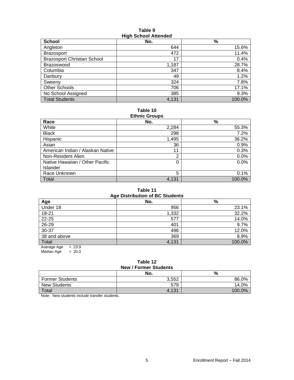#### **Table 9 High School Attended**

| <b>THAN ISSUED THE THEFT</b>       |       |        |  |  |  |
|------------------------------------|-------|--------|--|--|--|
| <b>School</b>                      | No.   | %      |  |  |  |
| Angleton                           | 644   | 15.6%  |  |  |  |
| <b>Brazosport</b>                  | 472   | 11.4%  |  |  |  |
| <b>Brazosport Christian School</b> | 17    | 0.4%   |  |  |  |
| Brazoswood                         | 1,187 | 28.7%  |  |  |  |
| Columbia                           | 347   | 8.4%   |  |  |  |
| Danbury                            | 49    | 1.2%   |  |  |  |
| Sweenv                             | 324   | 7.8%   |  |  |  |
| Other Schools                      | 706   | 17.1%  |  |  |  |
| No School Assigned                 | 385   | 9.3%   |  |  |  |
| <b>Total Students</b>              | 4,131 | 100.0% |  |  |  |

#### **Table 10 Ethnic Groups**

| Lunno Oroups                     |       |        |  |  |  |  |
|----------------------------------|-------|--------|--|--|--|--|
| Race                             | No.   | %      |  |  |  |  |
| White                            | 2,284 | 55.3%  |  |  |  |  |
| <b>Black</b>                     | 298   | 7.2%   |  |  |  |  |
| Hispanic                         | 1,495 | 36.2%  |  |  |  |  |
| Asian                            | 36    | 0.9%   |  |  |  |  |
| American Indian / Alaskan Native | 11    | 0.3%   |  |  |  |  |
| Non-Resident Alien               | 2     | 0.0%   |  |  |  |  |
| Native Hawaiian / Other Pacific  | 0     | 0.0%   |  |  |  |  |
| <b>Islander</b>                  |       |        |  |  |  |  |
| Race Unknown                     | 5     | 0.1%   |  |  |  |  |
| Total                            | 4,131 | 100.0% |  |  |  |  |

#### **Table 11 Age Distribution of BC Students**

| Ago Distribution of Do Otducing |       |        |  |  |  |  |  |  |
|---------------------------------|-------|--------|--|--|--|--|--|--|
| Age                             | No.   | %      |  |  |  |  |  |  |
| Under 18                        | 956   | 23.1%  |  |  |  |  |  |  |
| $18 - 21$                       | 1,332 | 32.2%  |  |  |  |  |  |  |
| 22-25                           | 577   | 14.0%  |  |  |  |  |  |  |
| 26-29                           | 401   | 9.7%   |  |  |  |  |  |  |
| 30-37                           | 496   | 12.0%  |  |  |  |  |  |  |
| 38 and above                    | 369   | 8.9%   |  |  |  |  |  |  |
| Total                           | 4,131 | 100.0% |  |  |  |  |  |  |
| $= 23.9$<br>Average Age         |       |        |  |  |  |  |  |  |

Median Age = 20.0

#### **Table 12 New / Former Students**

|                        | No.   | %         |  |  |  |
|------------------------|-------|-----------|--|--|--|
| <b>Former Students</b> | 3.552 | 86.0%     |  |  |  |
| <b>New Students</b>    | 579   | 14.0%     |  |  |  |
| Total                  | 4.131 | 100 $0\%$ |  |  |  |

Note: New students include transfer students.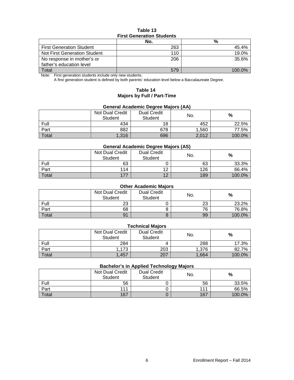### **Table 13 First Generation Students**

|                                 | No. | %      |  |  |  |
|---------------------------------|-----|--------|--|--|--|
| <b>First Generation Student</b> | 263 | 45.4%  |  |  |  |
| Not First Generation Student    | 110 | 19.0%  |  |  |  |
| No response in mother's or      | 206 | 35.6%  |  |  |  |
| father's education level        |     |        |  |  |  |
| Total                           | 579 | 100.0% |  |  |  |

Note: First generation students include only new students.

A first generation student is defined by both parents' education level below a Baccalaureate Degree.

## **Table 14 Majors by Full / Part-Time**

## **General Academic Degree Majors (AA)**

|       | <b>Dual Credit</b><br>Not Dual Credit<br><b>Student</b><br><b>Student</b> |     | No.   | %      |  |
|-------|---------------------------------------------------------------------------|-----|-------|--------|--|
| Full  | 434                                                                       | 18  | 452   | 22.5%  |  |
| Part  | 882                                                                       | 678 | 1,560 | 77.5%  |  |
| Total | 1,316                                                                     | 696 | 2,012 | 100.0% |  |

#### **General Academic Degree Majors (AS)**

|       | Not Dual Credit<br>Student | <b>Dual Credit</b><br>Student | No. | %      |
|-------|----------------------------|-------------------------------|-----|--------|
| Full  | 63                         |                               | 63  | 33.3%  |
| Part  | 114                        | $\overline{A}$                | 126 | 66.4%  |
| Total | 177                        | $\Lambda$                     | 189 | 100.0% |

## **Other Academic Majors**

|       | Not Dual Credit<br>Student | <b>Dual Credit</b><br>Student | No.      | %      |
|-------|----------------------------|-------------------------------|----------|--------|
| Full  | 23                         |                               | າາ<br>20 | 23.2%  |
| Part  | 68                         |                               | 76       | 76.8%  |
| Total | 91                         |                               | 99       | 100.0% |

## **Technical Majors**

|       | Not Dual Credit<br>Student | <b>Dual Credit</b><br><b>Student</b> | No.   | %      |
|-------|----------------------------|--------------------------------------|-------|--------|
| Full  | 284                        |                                      | 288   | 17.3%  |
| Part  | 1,173                      | 203                                  | 1.376 | 82.7%  |
| Total | 1.457                      | 207                                  | 1,664 | 100.0% |

#### **Bachelor's in Applied Technology Majors**

|       |                                   |                               | --  |        |
|-------|-----------------------------------|-------------------------------|-----|--------|
|       | Not Dual Credit<br><b>Student</b> | <b>Dual Credit</b><br>Student | No. | %      |
| Full  | 56                                |                               | 56  | 33.5%  |
| Part  | 111                               |                               | 111 | 66.5%  |
| Total | 167                               |                               | 167 | 100.0% |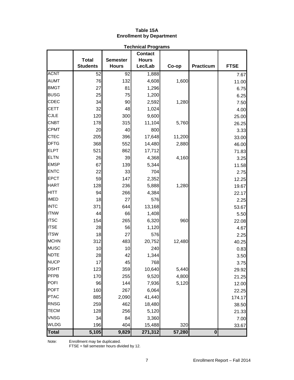#### **Table 15A Enrollment by Department**

|              | <b>Technical Programs</b> |                 |                |        |                  |             |  |  |  |
|--------------|---------------------------|-----------------|----------------|--------|------------------|-------------|--|--|--|
|              |                           |                 | <b>Contact</b> |        |                  |             |  |  |  |
|              | <b>Total</b>              | <b>Semester</b> | <b>Hours</b>   |        |                  |             |  |  |  |
|              | <b>Students</b>           | <b>Hours</b>    | Lec/Lab        | Co-op  | <b>Practicum</b> | <b>FTSE</b> |  |  |  |
| <b>ACNT</b>  | 52                        | 92              | 1,888          |        |                  | 7.67        |  |  |  |
| <b>AUMT</b>  | 76                        | 132             | 4,608          | 1,600  |                  | 11.00       |  |  |  |
| <b>BMGT</b>  | 27                        | 81              | 1,296          |        |                  | 6.75        |  |  |  |
| <b>BUSG</b>  | 25                        | 75              | 1,200          |        |                  | 6.25        |  |  |  |
| <b>CDEC</b>  | 34                        | 90              | 2,592          | 1,280  |                  | 7.50        |  |  |  |
| <b>CETT</b>  | 32                        | 48              | 1,024          |        |                  | 4.00        |  |  |  |
| <b>CJLE</b>  | 120                       | 300             | 9,600          |        |                  | 25.00       |  |  |  |
| <b>CNBT</b>  | 178                       | 315             | 11,104         | 5,760  |                  | 26.25       |  |  |  |
| <b>CPMT</b>  | 20                        | 40              | 800            |        |                  | 3.33        |  |  |  |
| <b>CTEC</b>  | 205                       | 396             | 17,648         | 11,200 |                  | 33.00       |  |  |  |
| <b>DFTG</b>  | 368                       | 552             | 14,480         | 2,880  |                  | 46.00       |  |  |  |
| <b>ELPT</b>  | 521                       | 862             | 17,712         |        |                  | 71.83       |  |  |  |
| <b>ELTN</b>  | 26                        | 39              | 4,368          | 4,160  |                  | 3.25        |  |  |  |
| <b>EMSP</b>  | 67                        | 139             | 5,344          |        |                  | 11.58       |  |  |  |
| <b>ENTC</b>  | 22                        | 33              | 704            |        |                  | 2.75        |  |  |  |
| <b>EPCT</b>  | 59                        | 147             | 2,352          |        |                  | 12.25       |  |  |  |
| <b>HART</b>  | 128                       | 236             | 5,888          | 1,280  |                  | 19.67       |  |  |  |
| <b>HITT</b>  | 94                        | 266             | 4,384          |        |                  | 22.17       |  |  |  |
| <b>IMED</b>  | 18                        | 27              | 576            |        |                  | 2.25        |  |  |  |
| <b>INTC</b>  | 371                       | 644             | 13,168         |        |                  | 53.67       |  |  |  |
| <b>ITNW</b>  | 44                        | 66              | 1,408          |        |                  | 5.50        |  |  |  |
| <b>ITSC</b>  | 154                       | 265             | 6,320          | 960    |                  | 22.08       |  |  |  |
| <b>ITSE</b>  | 28                        | 56              | 1,120          |        |                  | 4.67        |  |  |  |
| <b>ITSW</b>  | 18                        | 27              | 576            |        |                  | 2.25        |  |  |  |
| <b>MCHN</b>  | 312                       | 483             | 20,752         | 12,480 |                  | 40.25       |  |  |  |
| <b>MUSC</b>  | 10                        | 10              | 240            |        |                  | 0.83        |  |  |  |
| <b>NDTE</b>  | 28                        | 42              | 1,344          |        |                  | 3.50        |  |  |  |
| <b>NUCP</b>  | 17                        | 45              | 768            |        |                  | 3.75        |  |  |  |
| <b>OSHT</b>  | 123                       | 359             | 10,640         | 5,440  |                  | 29.92       |  |  |  |
| <b>PFPB</b>  | 170                       | 255             | 9,520          | 4,800  |                  | 21.25       |  |  |  |
| <b>POFI</b>  | 96                        | 144             | 7,936          | 5,120  |                  | 12.00       |  |  |  |
| <b>POFT</b>  | 160                       | 267             | 6,064          |        |                  | 22.25       |  |  |  |
| <b>PTAC</b>  | 885                       | 2,090           | 41,440         |        |                  | 174.17      |  |  |  |
| <b>RNSG</b>  | 259                       | 462             | 18,480         |        |                  | 38.50       |  |  |  |
| <b>TECM</b>  | 128                       | 256             | 5,120          |        |                  | 21.33       |  |  |  |
| <b>VNSG</b>  | 34                        | 84              | 3,360          |        |                  | 7.00        |  |  |  |
| <b>WLDG</b>  | 196                       | 404             | 15,488         | 320    |                  | 33.67       |  |  |  |
| <b>Total</b> | 5,105                     | 9,829           | 271,312        | 57,280 | $\bf{0}$         |             |  |  |  |

Note: Enrollment may be duplicated.

FTSE = fall semester hours divided by 12.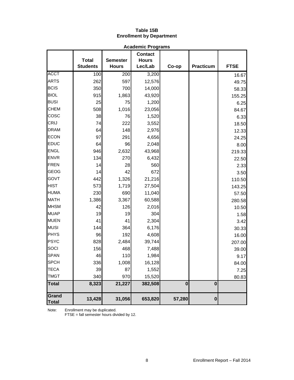# **Table 15B Enrollment by Department**

|                       |                                 |                                 |                                           | <b>Academic Programs</b> |           |             |  |  |  |  |  |  |
|-----------------------|---------------------------------|---------------------------------|-------------------------------------------|--------------------------|-----------|-------------|--|--|--|--|--|--|
|                       | <b>Total</b><br><b>Students</b> | <b>Semester</b><br><b>Hours</b> | <b>Contact</b><br><b>Hours</b><br>Lec/Lab | Co-op                    | Practicum | <b>FTSE</b> |  |  |  |  |  |  |
| <b>ACCT</b>           | 100                             | 200                             | 3,200                                     |                          |           | 16.67       |  |  |  |  |  |  |
| <b>ARTS</b>           | 262                             | 597                             | 12,576                                    |                          |           | 49.75       |  |  |  |  |  |  |
| <b>BCIS</b>           | 350                             | 700                             | 14,000                                    |                          |           | 58.33       |  |  |  |  |  |  |
| <b>BIOL</b>           | 915                             | 1,863                           | 43,920                                    |                          |           | 155.25      |  |  |  |  |  |  |
| <b>BUSI</b>           | 25                              | 75                              | 1,200                                     |                          |           | 6.25        |  |  |  |  |  |  |
| <b>CHEM</b>           | 508                             | 1,016                           | 23,056                                    |                          |           | 84.67       |  |  |  |  |  |  |
| <b>COSC</b>           | 38                              | 76                              | 1,520                                     |                          |           | 6.33        |  |  |  |  |  |  |
| <b>CRIJ</b>           | 74                              | 222                             | 3,552                                     |                          |           | 18.50       |  |  |  |  |  |  |
| <b>DRAM</b>           | 64                              | 148                             | 2,976                                     |                          |           | 12.33       |  |  |  |  |  |  |
| <b>ECON</b>           | 97                              | 291                             | 4,656                                     |                          |           | 24.25       |  |  |  |  |  |  |
| <b>EDUC</b>           | 64                              | 96                              | 2,048                                     |                          |           | 8.00        |  |  |  |  |  |  |
| <b>ENGL</b>           | 946                             | 2,632                           | 43,968                                    |                          |           | 219.33      |  |  |  |  |  |  |
| <b>ENVR</b>           | 134                             | 270                             | 6,432                                     |                          |           | 22.50       |  |  |  |  |  |  |
| <b>FREN</b>           | 14                              | 28                              | 560                                       |                          |           | 2.33        |  |  |  |  |  |  |
| <b>GEOG</b>           | 14                              | 42                              | 672                                       |                          |           | 3.50        |  |  |  |  |  |  |
| <b>GOVT</b>           | 442                             | 1,326                           | 21,216                                    |                          |           | 110.50      |  |  |  |  |  |  |
| <b>HIST</b>           | 573                             | 1,719                           | 27,504                                    |                          |           | 143.25      |  |  |  |  |  |  |
| <b>HUMA</b>           | 230                             | 690                             | 11,040                                    |                          |           | 57.50       |  |  |  |  |  |  |
| <b>MATH</b>           | 1,386                           | 3,367                           | 60,588                                    |                          |           | 280.58      |  |  |  |  |  |  |
| <b>MHSM</b>           | 42                              | 126                             | 2,016                                     |                          |           | 10.50       |  |  |  |  |  |  |
| <b>MUAP</b>           | 19                              | 19                              | 304                                       |                          |           | 1.58        |  |  |  |  |  |  |
| <b>MUEN</b>           | 41                              | 41                              | 2,304                                     |                          |           | 3.42        |  |  |  |  |  |  |
| <b>MUSI</b>           | 144                             | 364                             | 6,176                                     |                          |           | 30.33       |  |  |  |  |  |  |
| <b>PHYS</b>           | 96                              | 192                             | 4,608                                     |                          |           | 16.00       |  |  |  |  |  |  |
| <b>PSYC</b>           | 828                             | 2,484                           | 39,744                                    |                          |           | 207.00      |  |  |  |  |  |  |
| SOCI                  | 156                             | 468                             | 7,488                                     |                          |           | 39.00       |  |  |  |  |  |  |
| <b>SPAN</b>           | 46                              | 110                             | 1,984                                     |                          |           | 9.17        |  |  |  |  |  |  |
| <b>SPCH</b>           | 336                             | 1,008                           | 16,128                                    |                          |           | 84.00       |  |  |  |  |  |  |
| <b>TECA</b>           | 39                              | 87                              | 1,552                                     |                          |           | 7.25        |  |  |  |  |  |  |
| <b>TMGT</b>           | 340                             | 970                             | 15,520                                    |                          |           | 80.83       |  |  |  |  |  |  |
| <b>Total</b>          | 8,323                           | 21,227                          | 382,508                                   | $\mathbf 0$              | $\bf{0}$  |             |  |  |  |  |  |  |
| Grand<br><b>Total</b> | 13,428                          | 31,056                          | 653,820                                   | 57,280                   | $\bf{0}$  |             |  |  |  |  |  |  |

Note: Enrollment may be duplicated.

FTSE = fall semester hours divided by 12.